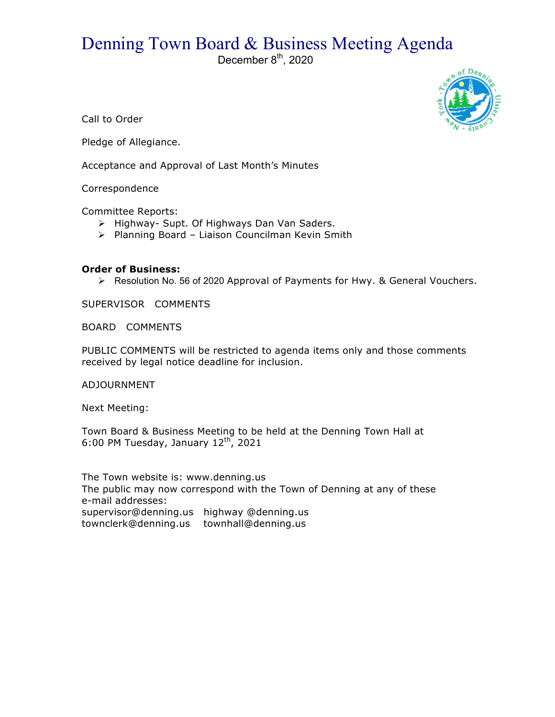## Denning Town Board & Business Meeting Agenda

December  $8<sup>th</sup>$ , 2020



Call to Order

Pledge of Allegiance.

Acceptance and Approval of Last Month's Minutes

Correspondence

Committee Reports:

- > Highway- Supt. Of Highways Dan Van Saders.
- > Planning Board Liaison Councilman Kevin Smith

## **Order of Business:**

> Resolution No. 56 of 2020 Approval of Payments for Hwy. & General Vouchers.

SUPERVISOR COMMENTS

BOARD COMMENTS

PUBLIC COMMENTS will be restricted to agenda items only and those comments received by legal notice deadline for inclusion.

ADJOURNMENT

Next Meeting:

Town Board & Business Meeting to be held at the Denning Town Hall at 6:00 PM Tuesday, January  $12^{th}$ , 2021

The Town website is: www.denning.us The public may now correspond with the Town of Denning at any of these e-mail addresses: supervisor@denning.us highway @denning.us townclerk@denning.us townhall@denning.us